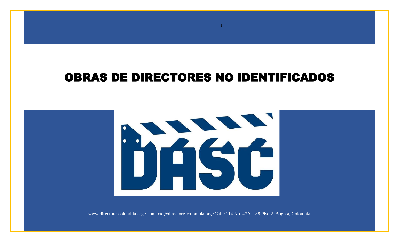## OBRAS DE DIRECTORES NO IDENTIFICADOS

1.



www.directorescolombia.org · contacto@directorescolombia.org ·Calle 114 No. 47A – 88 Piso 2. Bogotá, Colombia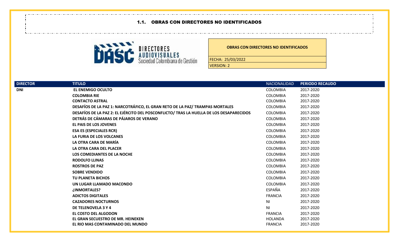## 1.1. OBRAS CON DIRECTORES NO IDENTIFICADOS



## **OBRAS CON DIRECTORES NO IDENTIFICADOS**

FECHA: 25/03/2022

VERSION: 2

| <b>DIRECTOR</b> | <b>TITULO</b>                                                                           | <b>NACIONALIDAD</b> | <b>PERIODO RECAUDO</b> |
|-----------------|-----------------------------------------------------------------------------------------|---------------------|------------------------|
| <b>DNI</b>      | <b>EL ENEMIGO OCULTO</b>                                                                | <b>COLOMBIA</b>     | 2017-2020              |
|                 | <b>COLOMBIA RIE</b>                                                                     | <b>COLOMBIA</b>     | 2017-2020              |
|                 | <b>CONTACTO ASTRAL</b>                                                                  | <b>COLOMBIA</b>     | 2017-2020              |
|                 | DESAFÍOS DE LA PAZ 1: NARCOTRÁFICO, EL GRAN RETO DE LA PAZ/ TRAMPAS MORTALES            | <b>COLOMBIA</b>     | 2017-2020              |
|                 | DESAFÍOS DE LA PAZ 2: EL EJÉRCITO DEL POSCONFLICTO/ TRAS LA HUELLA DE LOS DESAPARECIDOS | <b>COLOMBIA</b>     | 2017-2020              |
|                 | DETRÁS DE CÁMARAS DE PÁJAROS DE VERANO                                                  | <b>COLOMBIA</b>     | 2017-2020              |
|                 | <b>EL PAIS DE LOS JOVENES</b>                                                           | <b>COLOMBIA</b>     | 2017-2020              |
|                 | <b>ESA ES (ESPECIALES RCR)</b>                                                          | <b>COLOMBIA</b>     | 2017-2020              |
|                 | LA FURIA DE LOS VOLCANES                                                                | <b>COLOMBIA</b>     | 2017-2020              |
|                 | LA OTRA CARA DE MARÍA                                                                   | <b>COLOMBIA</b>     | 2017-2020              |
|                 | LA OTRA CARA DEL PLACER                                                                 | <b>COLOMBIA</b>     | 2017-2020              |
|                 | LOS COMEDIANTES DE LA NOCHE                                                             | <b>COLOMBIA</b>     | 2017-2020              |
|                 | <b>RODOLFO LLINAS</b>                                                                   | <b>COLOMBIA</b>     | 2017-2020              |
|                 | <b>ROSTROS DE PAZ</b>                                                                   | <b>COLOMBIA</b>     | 2017-2020              |
|                 | <b>SOBRE VENDIDO</b>                                                                    | <b>COLOMBIA</b>     | 2017-2020              |
|                 | <b>TU PLANETA BICHOS</b>                                                                | <b>COLOMBIA</b>     | 2017-2020              |
|                 | UN LUGAR LLAMADO MACONDO                                                                | <b>COLOMBIA</b>     | 2017-2020              |
|                 | ¿INMORTALES?                                                                            | ESPAÑA              | 2017-2020              |
|                 | <b>ADICTOS DIGITALES</b>                                                                | <b>FRANCIA</b>      | 2017-2020              |
|                 | <b>CAZADORES NOCTURNOS</b>                                                              | ΝI                  | 2017-2020              |
|                 | DE TELENOVELA 3 Y 4                                                                     | N <sub>1</sub>      | 2017-2020              |
|                 | EL COSTO DEL ALGODON                                                                    | <b>FRANCIA</b>      | 2017-2020              |
|                 | EL GRAN SECUESTRO DE MR. HEINEKEN                                                       | HOLANDA             | 2017-2020              |
|                 | EL RIO MAS CONTAMINADO DEL MUNDO                                                        | <b>FRANCIA</b>      | 2017-2020              |
|                 |                                                                                         |                     |                        |